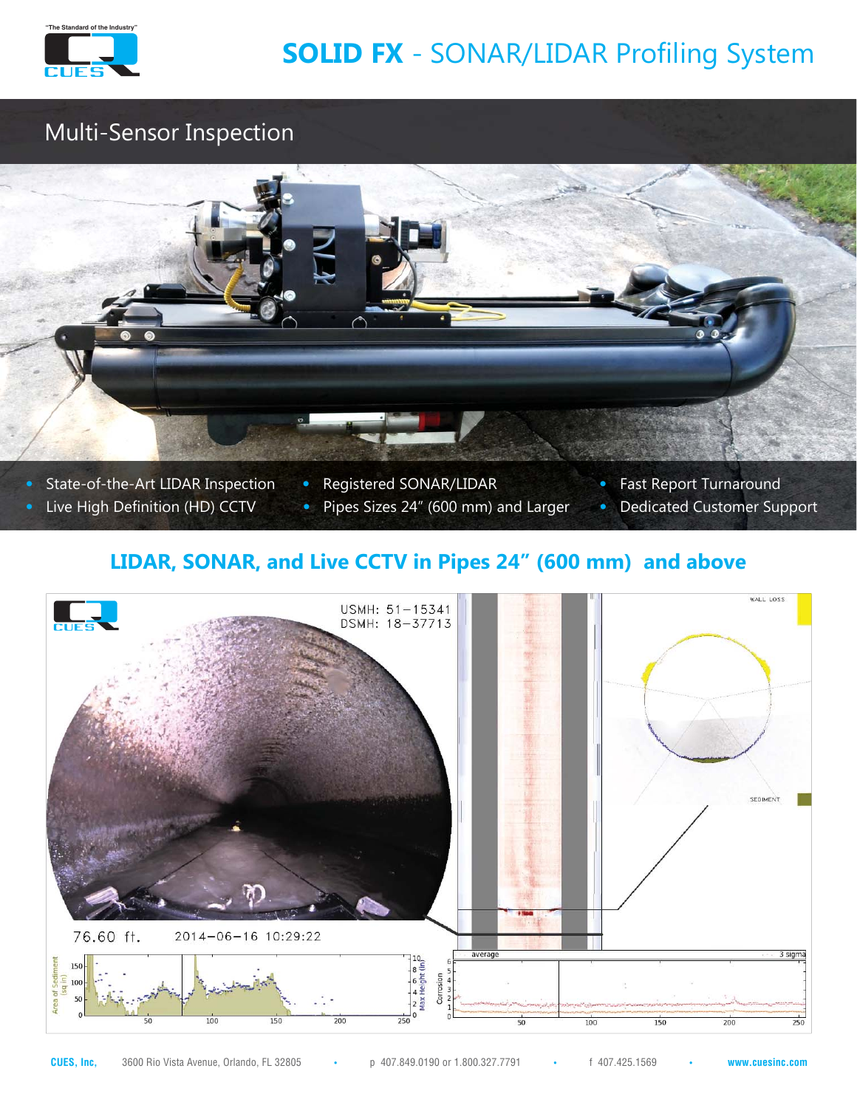

# **SOLID FX** - SONAR/LIDAR Profiling System

### Multi-Sensor Inspection



- 
- **•** State-of-the-Art LIDAR Inspection **•** Registered SONAR/LIDAR **•** Fast Report Turnaround
	- Live High Definition (HD) CCTV · Pipes Sizes 24" (600 mm) and Larger · Dedicated Customer Support
- -

### **LIDAR, SONAR, and Live CCTV in Pipes 24" (600 mm) and above**

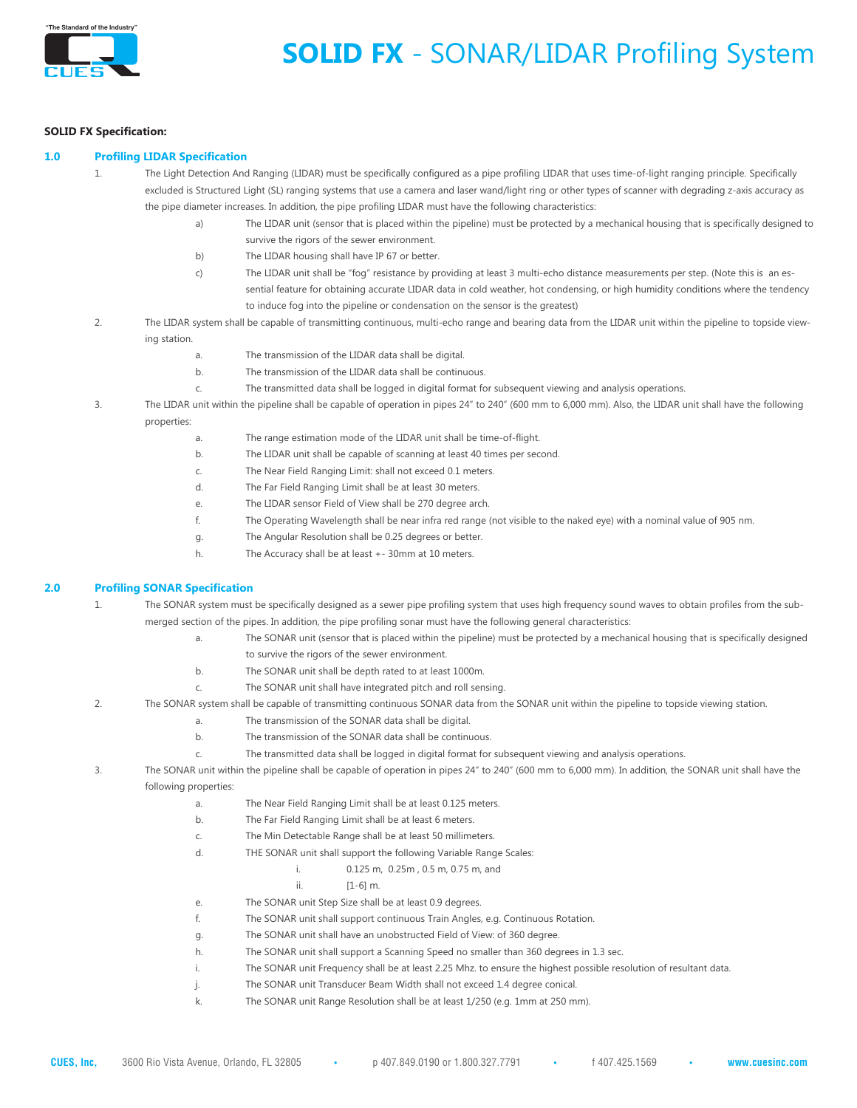

## **SOLID FX** - SONAR/LIDAR Profiling System

#### **SOLID FX Specification:**

### **1.0 Profiling LIDAR Specification**

- 1. The Light Detection And Ranging (LIDAR) must be specifically configured as a pipe profiling LIDAR that uses time-of-light ranging principle. Specifically excluded is Structured Light (SL) ranging systems that use a camera and laser wand/light ring or other types of scanner with degrading z-axis accuracy as the pipe diameter increases. In addition, the pipe profiling LIDAR must have the following characteristics:
	- a) The LIDAR unit (sensor that is placed within the pipeline) must be protected by a mechanical housing that is specifically designed to survive the rigors of the sewer environment.
	- b) The LIDAR housing shall have IP 67 or better.
	- c) The LIDAR unit shall be "fog" resistance by providing at least 3 multi-echo distance measurements per step. (Note this is an es sential feature for obtaining accurate LIDAR data in cold weather, hot condensing, or high humidity conditions where the tendency to induce fog into the pipeline or condensation on the sensor is the greatest)
- 2. The LIDAR system shall be capable of transmitting continuous, multi-echo range and bearing data from the LIDAR unit within the pipeline to topside view ing station.
	- a. The transmission of the LIDAR data shall be digital.
	- b. The transmission of the LIDAR data shall be continuous.
	- c. The transmitted data shall be logged in digital format for subsequent viewing and analysis operations.
- 3. The LIDAR unit within the pipeline shall be capable of operation in pipes 24" to 240" (600 mm to 6,000 mm). Also, the LIDAR unit shall have the following properties:
	- a. The range estimation mode of the LIDAR unit shall be time-of-flight.
	- b. The LIDAR unit shall be capable of scanning at least 40 times per second.
	- c. The Near Field Ranging Limit: shall not exceed 0.1 meters.
	- d. The Far Field Ranging Limit shall be at least 30 meters.
	- e. The LIDAR sensor Field of View shall be 270 degree arch.
	- f. The Operating Wavelength shall be near infra red range (not visible to the naked eye) with a nominal value of 905 nm.
	- g. The Angular Resolution shall be 0.25 degrees or better.
	- h. The Accuracy shall be at least +- 30mm at 10 meters.

#### **2.0 Profiling SONAR Specification**

- 1. The SONAR system must be specifically designed as a sewer pipe profiling system that uses high frequency sound waves to obtain profiles from the submerged section of the pipes. In addition, the pipe profiling sonar must have the following general characteristics:
	- a. The SONAR unit (sensor that is placed within the pipeline) must be protected by a mechanical housing that is specifically designed to survive the rigors of the sewer environment.
		- b. The SONAR unit shall be depth rated to at least 1000m.
		- c. The SONAR unit shall have integrated pitch and roll sensing.
- 2. The SONAR system shall be capable of transmitting continuous SONAR data from the SONAR unit within the pipeline to topside viewing station.
	- a. The transmission of the SONAR data shall be digital.
	- b. The transmission of the SONAR data shall be continuous.
	- c. The transmitted data shall be logged in digital format for subsequent viewing and analysis operations.
- 3. The SONAR unit within the pipeline shall be capable of operation in pipes 24" to 240" (600 mm to 6,000 mm). In addition, the SONAR unit shall have the following properties:
	- a. The Near Field Ranging Limit shall be at least 0.125 meters.
	- b. The Far Field Ranging Limit shall be at least 6 meters.
	- c. The Min Detectable Range shall be at least 50 millimeters.
	- d. THE SONAR unit shall support the following Variable Range Scales:
		- i. 0.125 m, 0.25m , 0.5 m, 0.75 m, and
			- ii. [1-6] m.
	- e. The SONAR unit Step Size shall be at least 0.9 degrees.
	- f. The SONAR unit shall support continuous Train Angles, e.g. Continuous Rotation.
	- g. The SONAR unit shall have an unobstructed Field of View: of 360 degree.
	- h. The SONAR unit shall support a Scanning Speed no smaller than 360 degrees in 1.3 sec.
	- i. The SONAR unit Frequency shall be at least 2.25 Mhz. to ensure the highest possible resolution of resultant data.
	- j. The SONAR unit Transducer Beam Width shall not exceed 1.4 degree conical.
	- k. The SONAR unit Range Resolution shall be at least 1/250 (e.g. 1mm at 250 mm).